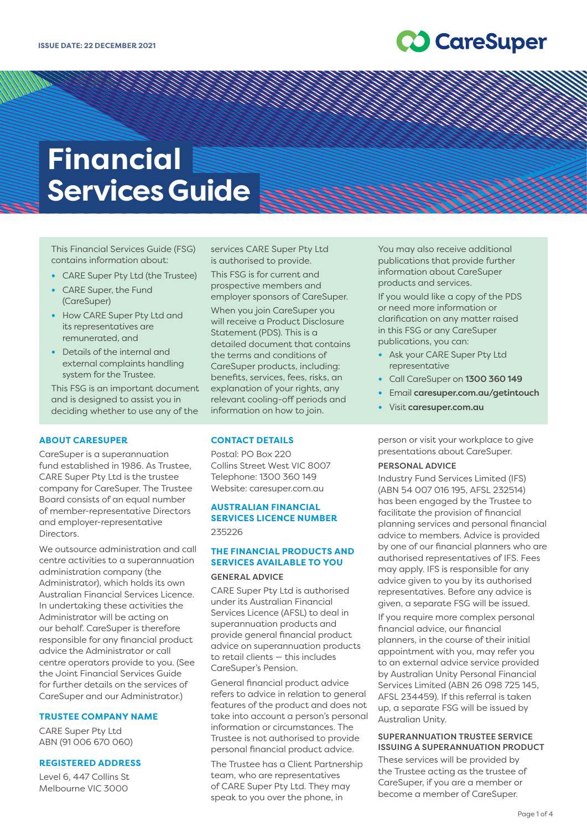## **20 CareSuper**

# **Financial Services Guide**

This Financial Services Guide (FSG) contains information about:

- **•** CARE Super Pty Ltd (the Trustee)
- **•** CARE Super, the Fund (CareSuper)
- **•** How CARE Super Pty Ltd and its representatives are remunerated, and
- **•** Details of the internal and external complaints handling system for the Trustee.

This FSG is an important document and is designed to assist you in deciding whether to use any of the

## **ABOUT CARESUPER**

CareSuper is a superannuation fund established in 1986. As Trustee, CARE Super Pty Ltd is the trustee company for CareSuper. The Trustee Board consists of an equal number of member-representative Directors and employer-representative Directors.

We outsource administration and call centre activities to a superannuation administration company (the Administrator), which holds its own Australian Financial Services Licence. In undertaking these activities the Administrator will be acting on our behalf. CareSuper is therefore responsible for any financial product advice the Administrator or call centre operators provide to you. (See the Joint Financial Services Guide for further details on the services of CareSuper and our Administrator.)

## **TRUSTEE COMPANY NAME**

CARE Super Pty Ltd ABN (91 006 670 060)

## **REGISTERED ADDRESS**

Level 6, 447 Collins St Melbourne VIC 3000

services CARE Super Pty Ltd is authorised to provide.

a komponent komponent komponent (h. 1979)<br>1979 - Johann Hollywood, Santa Baraton (h. 1979)<br>1979 - Johann Hollywood, Santa Baraton (h. 1979)

This FSG is for current and prospective members and employer sponsors of CareSuper.

When you join CareSuper you will receive a Product Disclosure Statement (PDS). This is a detailed document that contains the terms and conditions of CareSuper products, including: benefits, services, fees, risks, an explanation of your rights, any relevant cooling-off periods and information on how to join.

## **CONTACT DETAILS**

Postal: PO Box 220 Collins Street West VIC 8007 Telephone: 1300 360 149 Website: [caresuper.com.au](http://www.caresuper.com.au)

## **AUSTRALIAN FINANCIAL SERVICES LICENCE NUMBER** 235226

## **THE FINANCIAL PRODUCTS AND SERVICES AVAILABLE TO YOU**

#### GENERAL ADVICE

CARE Super Pty Ltd is authorised under its Australian Financial Services Licence (AFSL) to deal in superannuation products and provide general financial product advice on superannuation products to retail clients — this includes CareSuper's Pension.

General financial product advice refers to advice in relation to general features of the product and does not take into account a person's personal information or circumstances. The Trustee is not authorised to provide personal financial product advice.

The Trustee has a Client Partnership team, who are representatives of CARE Super Pty Ltd. They may speak to you over the phone, in

You may also receive additional publications that provide further information about CareSuper products and services.

If you would like a copy of the PDS or need more information or clarification on any matter raised in this FSG or any CareSuper publications, you can:

- **•** Ask your CARE Super Pty Ltd representative
- **•** Call CareSuper on 1300 360 149
- **•** Email [caresuper.com.au/getintouch](http://www.caresuper.com.au/getintouch)
- **•** Visit [caresuper.com.au](http://www.caresuper.com.au)

person or visit your workplace to give presentations about CareSuper.

#### PERSONAL ADVICE

Industry Fund Services Limited (IFS) (ABN 54 007 016 195, AFSL 232514) has been engaged by the Trustee to facilitate the provision of financial planning services and personal financial advice to members. Advice is provided by one of our financial planners who are authorised representatives of IFS. Fees may apply. IFS is responsible for any advice given to you by its authorised representatives. Before any advice is given, a separate FSG will be issued.

If you require more complex personal financial advice, our financial planners, in the course of their initial appointment with you, may refer you to an external advice service provided by Australian Unity Personal Financial Services Limited (ABN 26 098 725 145, AFSL 234459). If this referral is taken up, a separate FSG will be issued by Australian Unity.

## SUPERANNUATION TRUSTEE SERVICE ISSUING A SUPERANNUATION PRODUCT

These services will be provided by the Trustee acting as the trustee of CareSuper, if you are a member or become a member of CareSuper.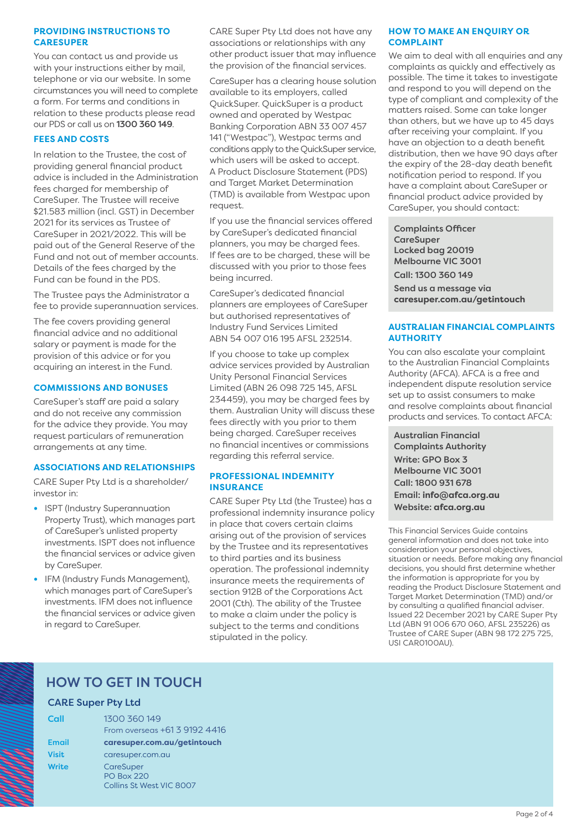## **PROVIDING INSTRUCTIONS TO CARESUPER**

You can contact us and provide us with your instructions either by mail, telephone or via our website. In some circumstances you will need to complete a form. For terms and conditions in relation to these products please read our PDS or call us on 1300 360 149.

## **FEES AND COSTS**

In relation to the Trustee, the cost of providing general financial product advice is included in the Administration fees charged for membership of CareSuper. The Trustee will receive \$21.583 million (incl. GST) in December 2021 for its services as Trustee of CareSuper in 2021/2022. This will be paid out of the General Reserve of the Fund and not out of member accounts. Details of the fees charged by the Fund can be found in the PDS.

The Trustee pays the Administrator a fee to provide superannuation services.

The fee covers providing general financial advice and no additional salary or payment is made for the provision of this advice or for you acquiring an interest in the Fund.

## **COMMISSIONS AND BONUSES**

CareSuper's staff are paid a salary and do not receive any commission for the advice they provide. You may request particulars of remuneration arrangements at any time.

## **ASSOCIATIONS AND RELATIONSHIPS**

CARE Super Pty Ltd is a shareholder/ investor in:

- **•** ISPT (Industry Superannuation Property Trust), which manages part of CareSuper's unlisted property investments. ISPT does not influence the financial services or advice given by CareSuper.
- **•** IFM (Industry Funds Management), which manages part of CareSuper's investments. IFM does not influence the financial services or advice given in regard to CareSuper.

CARE Super Pty Ltd does not have any associations or relationships with any other product issuer that may influence the provision of the financial services.

CareSuper has a clearing house solution available to its employers, called QuickSuper. QuickSuper is a product owned and operated by Westpac Banking Corporation ABN 33 007 457 141 ("Westpac"), Westpac terms and conditions apply to the QuickSuper service, which users will be asked to accept. A Product Disclosure Statement (PDS) and Target Market Determination (TMD) is available from Westpac upon request.

If you use the financial services offered by CareSuper's dedicated financial planners, you may be charged fees. If fees are to be charged, these will be discussed with you prior to those fees being incurred.

CareSuper's dedicated financial planners are employees of CareSuper but authorised representatives of Industry Fund Services Limited ABN 54 007 016 195 AFSL 232514.

If you choose to take up complex advice services provided by Australian Unity Personal Financial Services Limited (ABN 26 098 725 145, AFSL 234459), you may be charged fees by them. Australian Unity will discuss these fees directly with you prior to them being charged. CareSuper receives no financial incentives or commissions regarding this referral service.

## **PROFESSIONAL INDEMNITY INSURANCE**

CARE Super Pty Ltd (the Trustee) has a professional indemnity insurance policy in place that covers certain claims arising out of the provision of services by the Trustee and its representatives to third parties and its business operation. The professional indemnity insurance meets the requirements of section 912B of the Corporations Act 2001 (Cth). The ability of the Trustee to make a claim under the policy is subject to the terms and conditions stipulated in the policy.

## **HOW TO MAKE AN ENQUIRY OR COMPLAINT**

We aim to deal with all enquiries and any complaints as quickly and effectively as possible. The time it takes to investigate and respond to you will depend on the type of compliant and complexity of the matters raised. Some can take longer than others, but we have up to 45 days after receiving your complaint. If you have an objection to a death benefit distribution, then we have 90 days after the expiry of the 28-day death benefit notification period to respond. If you have a complaint about CareSuper or financial product advice provided by CareSuper, you should contact:

Complaints Officer **CareSuper** Locked bag 20019 Melbourne VIC 3001 Call: 1300 360 149 Send us a message via **[caresuper.com.au/getintouch](http://www.caresuper.com.au/getintouch)**

## **AUSTRALIAN FINANCIAL COMPLAINTS AUTHORITY**

You can also escalate your complaint to the Australian Financial Complaints Authority (AFCA). AFCA is a free and independent dispute resolution service set up to assist consumers to make and resolve complaints about financial products and services. To contact AFCA:

Australian Financial Complaints Authority Write: GPO Box 3 Melbourne VIC 3001 Call: 1800 931 678 Email: **info@afca.org.au** Website: **[afca.org.au](http://afca.org.au)**

This Financial Services Guide contains general information and does not take into consideration your personal objectives, situation or needs. Before making any financial decisions, you should first determine whether the information is appropriate for you by reading the Product Disclosure Statement and Target Market Determination (TMD) and/or by consulting a qualified financial adviser. Issued 22 December 2021 by CARE Super Pty Ltd (ABN 91 006 670 060, AFSL 235226) as Trustee of CARE Super (ABN 98 172 275 725, USI CAR0100AU).

## HOW TO GET IN TOUCH

## CARE Super Pty Ltd

| Call         | 1300 360 149<br>From overseas +61 3 9192 4416              |
|--------------|------------------------------------------------------------|
| <b>Email</b> | caresuper.com.au/getintouch                                |
| <b>Visit</b> | caresuper.com.au                                           |
| Write        | CareSuper<br><b>PO Box 220</b><br>Collins St West VIC 8007 |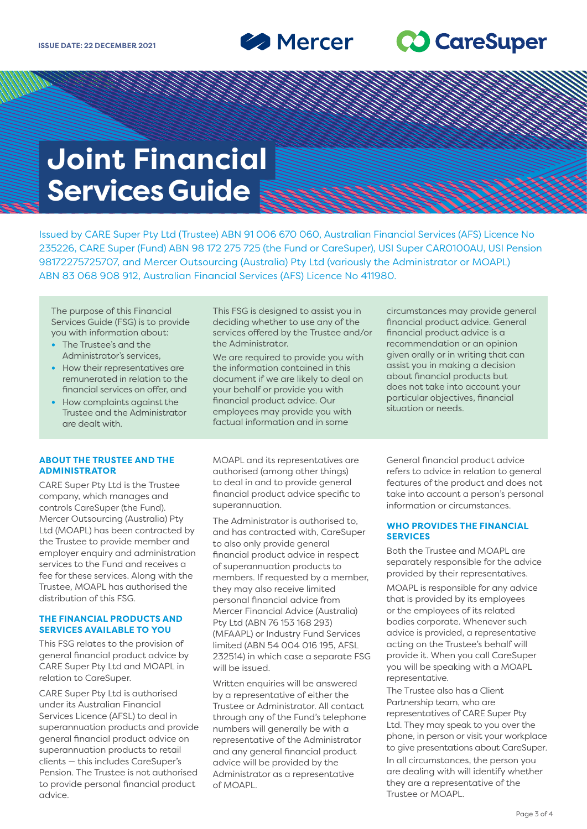**Solution Mercer** 

## **20 CareSuper**

# **Joint Financial Services Guide**

Issued by CARE Super Pty Ltd (Trustee) ABN 91 006 670 060, Australian Financial Services (AFS) Licence No 235226, CARE Super (Fund) ABN 98 172 275 725 (the Fund or CareSuper), USI Super CAR0100AU, USI Pension 98172275725707, and Mercer Outsourcing (Australia) Pty Ltd (variously the Administrator or MOAPL) ABN 83 068 908 912, Australian Financial Services (AFS) Licence No 411980.

The purpose of this Financial Services Guide (FSG) is to provide you with information about:

- **•** The Trustee's and the Administrator's services,
- **•** How their representatives are remunerated in relation to the financial services on offer, and
- **•** How complaints against the Trustee and the Administrator are dealt with.

## **ABOUT THE TRUSTEE AND THE ADMINISTRATOR**

CARE Super Pty Ltd is the Trustee company, which manages and controls CareSuper (the Fund). Mercer Outsourcing (Australia) Pty Ltd (MOAPL) has been contracted by the Trustee to provide member and employer enquiry and administration services to the Fund and receives a fee for these services. Along with the Trustee, MOAPL has authorised the distribution of this FSG.

## **THE FINANCIAL PRODUCTS AND SERVICES AVAILABLE TO YOU**

This FSG relates to the provision of general financial product advice by CARE Super Pty Ltd and MOAPL in relation to CareSuper.

CARE Super Pty Ltd is authorised under its Australian Financial Services Licence (AFSL) to deal in superannuation products and provide general financial product advice on superannuation products to retail clients — this includes CareSuper's Pension. The Trustee is not authorised to provide personal financial product advice.

This FSG is designed to assist you in deciding whether to use any of the services offered by the Trustee and/or the Administrator.

We are required to provide you with the information contained in this document if we are likely to deal on your behalf or provide you with financial product advice. Our employees may provide you with factual information and in some

MOAPL and its representatives are authorised (among other things) to deal in and to provide general financial product advice specific to superannuation.

The Administrator is authorised to, and has contracted with, CareSuper to also only provide general financial product advice in respect of superannuation products to members. If requested by a member, they may also receive limited personal financial advice from Mercer Financial Advice (Australia) Pty Ltd (ABN 76 153 168 293) (MFAAPL) or Industry Fund Services limited (ABN 54 004 016 195, AFSL 232514) in which case a separate FSG will be issued.

Written enquiries will be answered by a representative of either the Trustee or Administrator. All contact through any of the Fund's telephone numbers will generally be with a representative of the Administrator and any general financial product advice will be provided by the Administrator as a representative of MOAPL.

circumstances may provide general financial product advice. General financial product advice is a recommendation or an opinion given orally or in writing that can assist you in making a decision about financial products but does not take into account your particular objectives, financial situation or needs.

General financial product advice refers to advice in relation to general features of the product and does not take into account a person's personal information or circumstances.

## **WHO PROVIDES THE FINANCIAL SERVICES**

Both the Trustee and MOAPL are separately responsible for the advice provided by their representatives.

MOAPL is responsible for any advice that is provided by its employees or the employees of its related bodies corporate. Whenever such advice is provided, a representative acting on the Trustee's behalf will provide it. When you call CareSuper you will be speaking with a MOAPL representative.

The Trustee also has a Client Partnership team, who are representatives of CARE Super Pty Ltd. They may speak to you over the phone, in person or visit your workplace to give presentations about CareSuper. In all circumstances, the person you are dealing with will identify whether they are a representative of the Trustee or MOAPL.